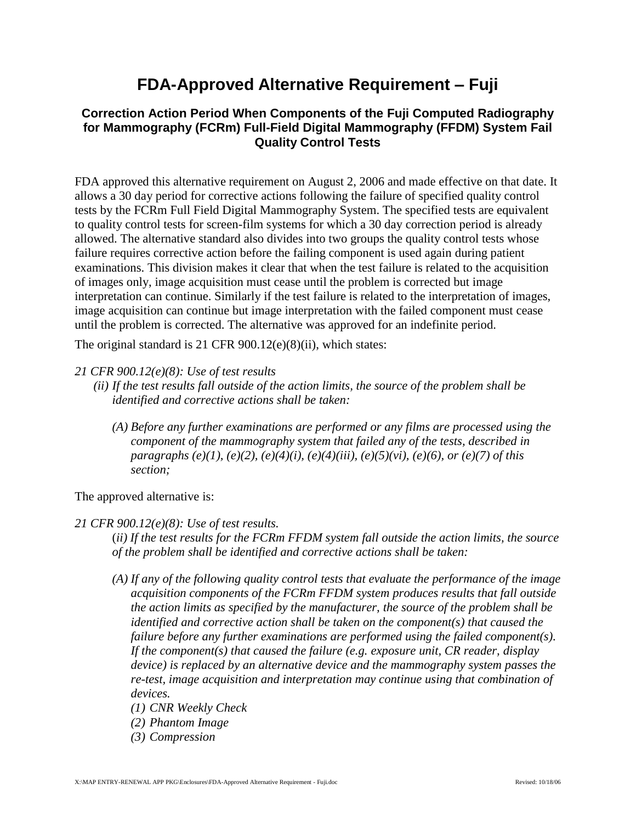## **FDA-Approved Alternative Requirement – Fuji**

## **Correction Action Period When Components of the Fuji Computed Radiography for Mammography (FCRm) Full-Field Digital Mammography (FFDM) System Fail Quality Control Tests**

FDA approved this alternative requirement on August 2, 2006 and made effective on that date. It allows a 30 day period for corrective actions following the failure of specified quality control tests by the FCRm Full Field Digital Mammography System. The specified tests are equivalent to quality control tests for screen-film systems for which a 30 day correction period is already allowed. The alternative standard also divides into two groups the quality control tests whose failure requires corrective action before the failing component is used again during patient examinations. This division makes it clear that when the test failure is related to the acquisition of images only, image acquisition must cease until the problem is corrected but image interpretation can continue. Similarly if the test failure is related to the interpretation of images, image acquisition can continue but image interpretation with the failed component must cease until the problem is corrected. The alternative was approved for an indefinite period.

The original standard is 21 CFR 900.12(e)(8)(ii), which states:

- *21 CFR 900.12(e)(8): Use of test results*
	- *(ii) If the test results fall outside of the action limits, the source of the problem shall be identified and corrective actions shall be taken:*
		- *(A) Before any further examinations are performed or any films are processed using the component of the mammography system that failed any of the tests, described in paragraphs (e)(1), (e)(2), (e)(4)(i), (e)(4)(iii), (e)(5)(vi), (e)(6), or (e)(7) of this section;*

The approved alternative is:

## *21 CFR 900.12(e)(8): Use of test results.*

(*ii) If the test results for the FCRm FFDM system fall outside the action limits, the source of the problem shall be identified and corrective actions shall be taken:*

- *(A) If any of the following quality control tests that evaluate the performance of the image acquisition components of the FCRm FFDM system produces results that fall outside the action limits as specified by the manufacturer, the source of the problem shall be identified and corrective action shall be taken on the component(s) that caused the failure before any further examinations are performed using the failed component(s). If the component(s) that caused the failure (e.g. exposure unit, CR reader, display device) is replaced by an alternative device and the mammography system passes the re-test, image acquisition and interpretation may continue using that combination of devices.*
	- *(1) CNR Weekly Check*
	- *(2) Phantom Image*
	- *(3) Compression*